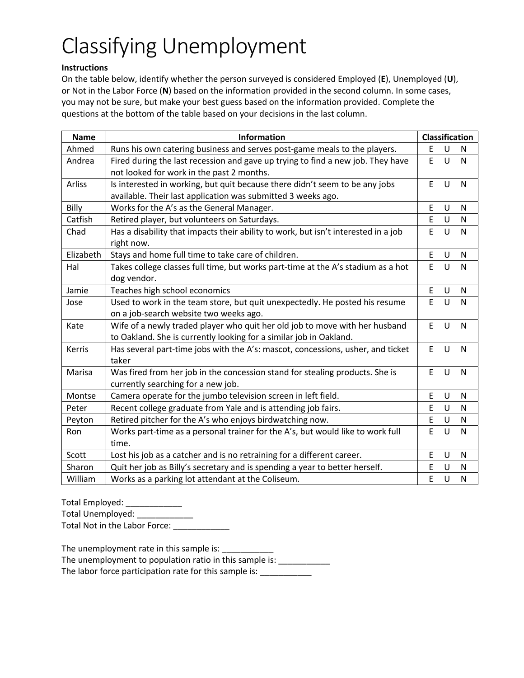## Classifying Unemployment

## **Instructions**

On the table below, identify whether the person surveyed is considered Employed (**E**), Unemployed (**U**), or Not in the Labor Force (**N**) based on the information provided in the second column. In some cases, you may not be sure, but make your best guess based on the information provided. Complete the questions at the bottom of the table based on your decisions in the last column.

| <b>Name</b> | <b>Information</b>                                                                 | <b>Classification</b> |        |              |
|-------------|------------------------------------------------------------------------------------|-----------------------|--------|--------------|
| Ahmed       | Runs his own catering business and serves post-game meals to the players.          | Ε                     | U      | N            |
| Andrea      | Fired during the last recession and gave up trying to find a new job. They have    | E                     | U      | $\mathsf{N}$ |
|             | not looked for work in the past 2 months.                                          |                       |        |              |
| Arliss      | Is interested in working, but quit because there didn't seem to be any jobs        | E                     | $\cup$ | N            |
|             | available. Their last application was submitted 3 weeks ago.                       |                       |        |              |
| Billy       | Works for the A's as the General Manager.                                          | E                     | U      | N            |
| Catfish     | Retired player, but volunteers on Saturdays.                                       | E                     | U      | ${\sf N}$    |
| Chad        | Has a disability that impacts their ability to work, but isn't interested in a job | E                     | U      | N            |
|             | right now.                                                                         |                       |        |              |
| Elizabeth   | Stays and home full time to take care of children.                                 | E                     | U      | N            |
| Hal         | Takes college classes full time, but works part-time at the A's stadium as a hot   | E                     | U      | $\mathsf{N}$ |
|             | dog vendor.                                                                        |                       |        |              |
| Jamie       | Teaches high school economics                                                      | E                     | U      | N            |
| Jose        | Used to work in the team store, but quit unexpectedly. He posted his resume        | E                     | U      | N            |
|             | on a job-search website two weeks ago.                                             |                       |        |              |
| Kate        | Wife of a newly traded player who quit her old job to move with her husband        | E                     | U      | N            |
|             | to Oakland. She is currently looking for a similar job in Oakland.                 |                       |        |              |
| Kerris      | Has several part-time jobs with the A's: mascot, concessions, usher, and ticket    | E                     | U      | N            |
|             | taker                                                                              |                       |        |              |
| Marisa      | Was fired from her job in the concession stand for stealing products. She is       | E                     | U      | N            |
|             | currently searching for a new job.                                                 |                       |        |              |
| Montse      | Camera operate for the jumbo television screen in left field.                      | E                     | U      | N            |
| Peter       | Recent college graduate from Yale and is attending job fairs.                      | E                     | U      | N            |
| Peyton      | Retired pitcher for the A's who enjoys birdwatching now.                           | E                     | U      | N            |
| Ron         | Works part-time as a personal trainer for the A's, but would like to work full     | E                     | U      | N            |
|             | time.                                                                              |                       |        |              |
| Scott       | Lost his job as a catcher and is no retraining for a different career.             | E                     | U      | ${\sf N}$    |
| Sharon      | Quit her job as Billy's secretary and is spending a year to better herself.        | E                     | U      | N            |
| William     | Works as a parking lot attendant at the Coliseum.                                  | E                     | U      | $\mathsf{N}$ |

Total Employed: \_\_\_\_\_\_\_\_\_\_\_\_

Total Unemployed: \_\_\_\_\_\_\_\_\_\_\_\_\_\_ Total Not in the Labor Force: \_\_\_\_\_\_\_\_\_\_\_\_\_\_

The unemployment rate in this sample is: \_\_\_\_\_\_\_\_\_

The unemployment to population ratio in this sample is: \_\_\_\_\_\_\_\_\_\_\_\_

The labor force participation rate for this sample is: \_\_\_\_\_\_\_\_\_\_\_\_